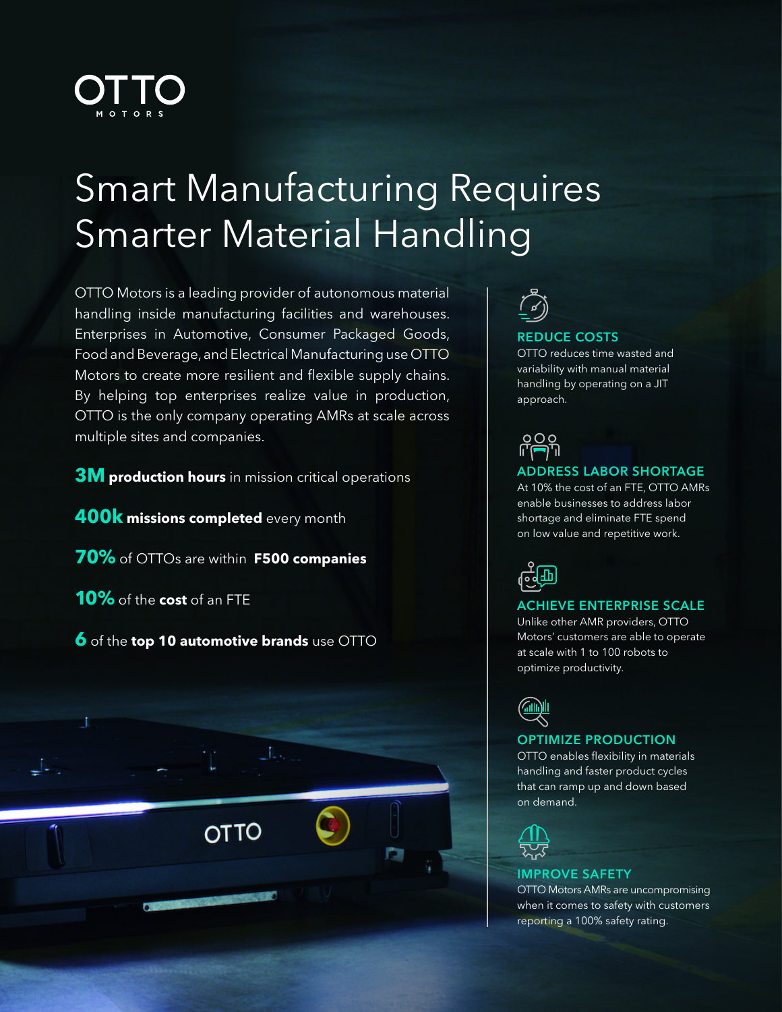

# Smart Manufacturing Requires Smarter Material Handling

OTTO Motors is a leading provider of autonomous material handling inside manufacturing facilities and warehouses. Enterprises in Automotive, Consumer Packaged Goods, Food and Beverage, and Electrical Manufacturing use OTTO Motors to create more resilient and flexible supply chains. By helping top enterprises realize value in production, OTTO is the only company operating AMRs at scale across multiple sites and companies.

**3M production hours** in mission critical operations

**400k missions completed** every month

**70%** of OTTOs are within **F500 companies**

**10%** of the **cost** of an FTE

**6** of the **top 10 automotive brands** use OTTO

**OTTO** 



### REDUCE COSTS

OTTO reduces time wasted and variability with manual material handling by operating on a JIT approach.



### ADDRESS LABOR SHORTAGE

At 10% the cost of an FTE, OTTO AMRs enable businesses to address labor shortage and eliminate FTE spend on low value and repetitive work.



### ACHIEVE ENTERPRISE SCALE

Unlike other AMR providers, OTTO Motors' customers are able to operate at scale with 1 to 100 robots to optimize productivity.



### OPTIMIZE PRODUCTION

OTTO enables flexibility in materials handling and faster product cycles that can ramp up and down based on demand.



### IMPROVE SAFETY

OTTO Motors AMRs are uncompromising when it comes to safety with customers reporting a 100% safety rating.